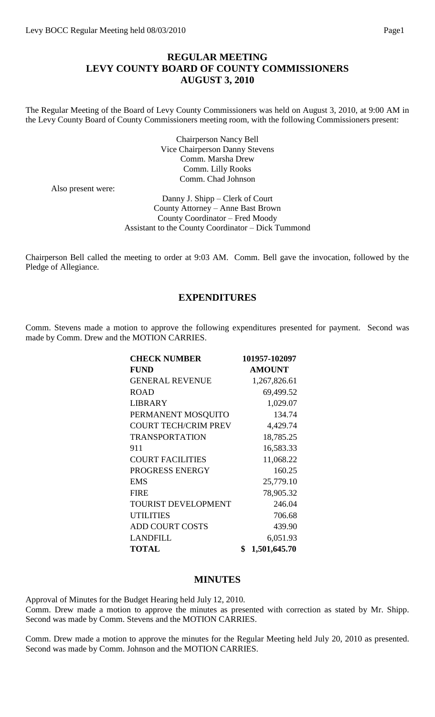## **REGULAR MEETING LEVY COUNTY BOARD OF COUNTY COMMISSIONERS AUGUST 3, 2010**

The Regular Meeting of the Board of Levy County Commissioners was held on August 3, 2010, at 9:00 AM in the Levy County Board of County Commissioners meeting room, with the following Commissioners present:

> Chairperson Nancy Bell Vice Chairperson Danny Stevens Comm. Marsha Drew Comm. Lilly Rooks Comm. Chad Johnson

Also present were:

Danny J. Shipp – Clerk of Court County Attorney – Anne Bast Brown County Coordinator – Fred Moody Assistant to the County Coordinator – Dick Tummond

Chairperson Bell called the meeting to order at 9:03 AM. Comm. Bell gave the invocation, followed by the Pledge of Allegiance.

## **EXPENDITURES**

Comm. Stevens made a motion to approve the following expenditures presented for payment. Second was made by Comm. Drew and the MOTION CARRIES.

| <b>CHECK NUMBER</b>         | 101957-102097      |
|-----------------------------|--------------------|
| <b>FUND</b>                 | <b>AMOUNT</b>      |
| <b>GENERAL REVENUE</b>      | 1,267,826.61       |
| <b>ROAD</b>                 | 69,499.52          |
| LIBRARY                     | 1,029.07           |
| PERMANENT MOSQUITO          | 134.74             |
| <b>COURT TECH/CRIM PREV</b> | 4,429.74           |
| <b>TRANSPORTATION</b>       | 18,785.25          |
| 911                         | 16,583.33          |
| <b>COURT FACILITIES</b>     | 11,068.22          |
| PROGRESS ENERGY             | 160.25             |
| <b>EMS</b>                  | 25,779.10          |
| <b>FIRE</b>                 | 78,905.32          |
| <b>TOURIST DEVELOPMENT</b>  | 246.04             |
| <b>UTILITIES</b>            | 706.68             |
| <b>ADD COURT COSTS</b>      | 439.90             |
| <b>LANDFILL</b>             | 6,051.93           |
| <b>TOTAL</b>                | \$<br>1,501,645.70 |

#### **MINUTES**

Approval of Minutes for the Budget Hearing held July 12, 2010. Comm. Drew made a motion to approve the minutes as presented with correction as stated by Mr. Shipp. Second was made by Comm. Stevens and the MOTION CARRIES.

Comm. Drew made a motion to approve the minutes for the Regular Meeting held July 20, 2010 as presented. Second was made by Comm. Johnson and the MOTION CARRIES.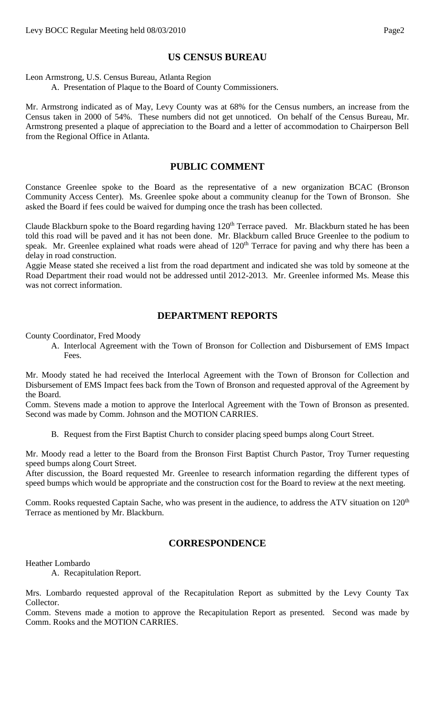## **US CENSUS BUREAU**

Leon Armstrong, U.S. Census Bureau, Atlanta Region

A. Presentation of Plaque to the Board of County Commissioners.

Mr. Armstrong indicated as of May, Levy County was at 68% for the Census numbers, an increase from the Census taken in 2000 of 54%. These numbers did not get unnoticed. On behalf of the Census Bureau, Mr. Armstrong presented a plaque of appreciation to the Board and a letter of accommodation to Chairperson Bell from the Regional Office in Atlanta.

#### **PUBLIC COMMENT**

Constance Greenlee spoke to the Board as the representative of a new organization BCAC (Bronson Community Access Center). Ms. Greenlee spoke about a community cleanup for the Town of Bronson. She asked the Board if fees could be waived for dumping once the trash has been collected.

Claude Blackburn spoke to the Board regarding having 120<sup>th</sup> Terrace paved. Mr. Blackburn stated he has been told this road will be paved and it has not been done. Mr. Blackburn called Bruce Greenlee to the podium to speak. Mr. Greenlee explained what roads were ahead of 120<sup>th</sup> Terrace for paving and why there has been a delay in road construction.

Aggie Mease stated she received a list from the road department and indicated she was told by someone at the Road Department their road would not be addressed until 2012-2013. Mr. Greenlee informed Ms. Mease this was not correct information.

# **DEPARTMENT REPORTS**

County Coordinator, Fred Moody

A. Interlocal Agreement with the Town of Bronson for Collection and Disbursement of EMS Impact Fees.

Mr. Moody stated he had received the Interlocal Agreement with the Town of Bronson for Collection and Disbursement of EMS Impact fees back from the Town of Bronson and requested approval of the Agreement by the Board.

Comm. Stevens made a motion to approve the Interlocal Agreement with the Town of Bronson as presented. Second was made by Comm. Johnson and the MOTION CARRIES.

B. Request from the First Baptist Church to consider placing speed bumps along Court Street.

Mr. Moody read a letter to the Board from the Bronson First Baptist Church Pastor, Troy Turner requesting speed bumps along Court Street.

After discussion, the Board requested Mr. Greenlee to research information regarding the different types of speed bumps which would be appropriate and the construction cost for the Board to review at the next meeting.

Comm. Rooks requested Captain Sache, who was present in the audience, to address the ATV situation on 120<sup>th</sup> Terrace as mentioned by Mr. Blackburn.

## **CORRESPONDENCE**

Heather Lombardo

A. Recapitulation Report.

Mrs. Lombardo requested approval of the Recapitulation Report as submitted by the Levy County Tax Collector.

Comm. Stevens made a motion to approve the Recapitulation Report as presented. Second was made by Comm. Rooks and the MOTION CARRIES.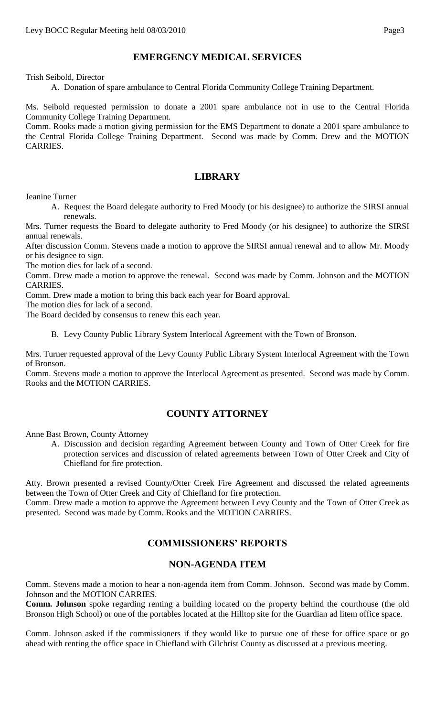# **EMERGENCY MEDICAL SERVICES**

Trish Seibold, Director

A. Donation of spare ambulance to Central Florida Community College Training Department.

Ms. Seibold requested permission to donate a 2001 spare ambulance not in use to the Central Florida Community College Training Department.

Comm. Rooks made a motion giving permission for the EMS Department to donate a 2001 spare ambulance to the Central Florida College Training Department. Second was made by Comm. Drew and the MOTION CARRIES.

## **LIBRARY**

Jeanine Turner

A. Request the Board delegate authority to Fred Moody (or his designee) to authorize the SIRSI annual renewals.

Mrs. Turner requests the Board to delegate authority to Fred Moody (or his designee) to authorize the SIRSI annual renewals.

After discussion Comm. Stevens made a motion to approve the SIRSI annual renewal and to allow Mr. Moody or his designee to sign.

The motion dies for lack of a second.

Comm. Drew made a motion to approve the renewal. Second was made by Comm. Johnson and the MOTION CARRIES.

Comm. Drew made a motion to bring this back each year for Board approval.

The motion dies for lack of a second.

The Board decided by consensus to renew this each year.

B. Levy County Public Library System Interlocal Agreement with the Town of Bronson.

Mrs. Turner requested approval of the Levy County Public Library System Interlocal Agreement with the Town of Bronson.

Comm. Stevens made a motion to approve the Interlocal Agreement as presented. Second was made by Comm. Rooks and the MOTION CARRIES.

## **COUNTY ATTORNEY**

Anne Bast Brown, County Attorney

A. Discussion and decision regarding Agreement between County and Town of Otter Creek for fire protection services and discussion of related agreements between Town of Otter Creek and City of Chiefland for fire protection.

Atty. Brown presented a revised County/Otter Creek Fire Agreement and discussed the related agreements between the Town of Otter Creek and City of Chiefland for fire protection.

Comm. Drew made a motion to approve the Agreement between Levy County and the Town of Otter Creek as presented. Second was made by Comm. Rooks and the MOTION CARRIES.

## **COMMISSIONERS' REPORTS**

## **NON-AGENDA ITEM**

Comm. Stevens made a motion to hear a non-agenda item from Comm. Johnson. Second was made by Comm. Johnson and the MOTION CARRIES.

**Comm. Johnson** spoke regarding renting a building located on the property behind the courthouse (the old Bronson High School) or one of the portables located at the Hilltop site for the Guardian ad litem office space.

Comm. Johnson asked if the commissioners if they would like to pursue one of these for office space or go ahead with renting the office space in Chiefland with Gilchrist County as discussed at a previous meeting.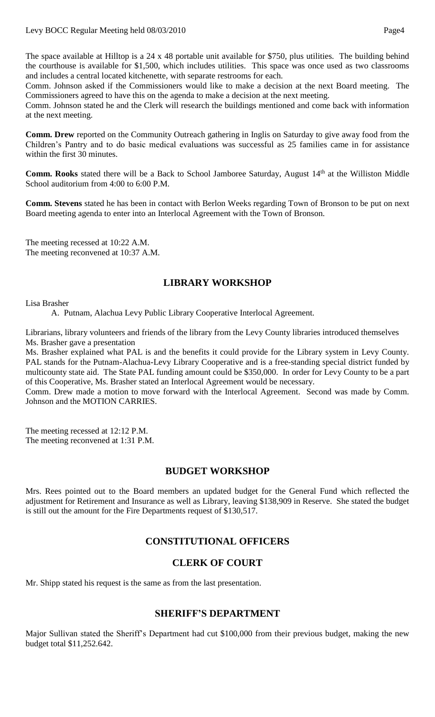The space available at Hilltop is a 24 x 48 portable unit available for \$750, plus utilities. The building behind the courthouse is available for \$1,500, which includes utilities. This space was once used as two classrooms and includes a central located kitchenette, with separate restrooms for each.

Comm. Johnson asked if the Commissioners would like to make a decision at the next Board meeting. The Commissioners agreed to have this on the agenda to make a decision at the next meeting.

Comm. Johnson stated he and the Clerk will research the buildings mentioned and come back with information at the next meeting.

**Comm. Drew** reported on the Community Outreach gathering in Inglis on Saturday to give away food from the Children's Pantry and to do basic medical evaluations was successful as 25 families came in for assistance within the first 30 minutes.

**Comm. Rooks** stated there will be a Back to School Jamboree Saturday, August 14<sup>th</sup> at the Williston Middle School auditorium from 4:00 to 6:00 P.M.

**Comm. Stevens** stated he has been in contact with Berlon Weeks regarding Town of Bronson to be put on next Board meeting agenda to enter into an Interlocal Agreement with the Town of Bronson.

The meeting recessed at 10:22 A.M. The meeting reconvened at 10:37 A.M.

## **LIBRARY WORKSHOP**

Lisa Brasher

A. Putnam, Alachua Levy Public Library Cooperative Interlocal Agreement.

Librarians, library volunteers and friends of the library from the Levy County libraries introduced themselves Ms. Brasher gave a presentation

Ms. Brasher explained what PAL is and the benefits it could provide for the Library system in Levy County. PAL stands for the Putnam-Alachua-Levy Library Cooperative and is a free-standing special district funded by multicounty state aid. The State PAL funding amount could be \$350,000. In order for Levy County to be a part of this Cooperative, Ms. Brasher stated an Interlocal Agreement would be necessary.

Comm. Drew made a motion to move forward with the Interlocal Agreement. Second was made by Comm. Johnson and the MOTION CARRIES.

The meeting recessed at 12:12 P.M. The meeting reconvened at 1:31 P.M.

#### **BUDGET WORKSHOP**

Mrs. Rees pointed out to the Board members an updated budget for the General Fund which reflected the adjustment for Retirement and Insurance as well as Library, leaving \$138,909 in Reserve. She stated the budget is still out the amount for the Fire Departments request of \$130,517.

## **CONSTITUTIONAL OFFICERS**

## **CLERK OF COURT**

Mr. Shipp stated his request is the same as from the last presentation.

## **SHERIFF'S DEPARTMENT**

Major Sullivan stated the Sheriff's Department had cut \$100,000 from their previous budget, making the new budget total \$11,252.642.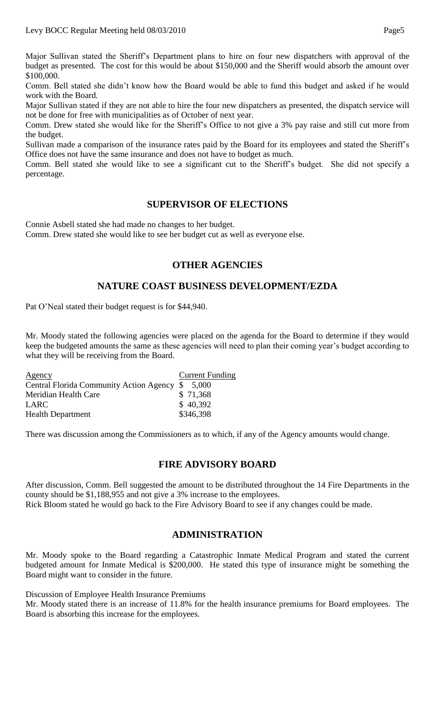Major Sullivan stated the Sheriff's Department plans to hire on four new dispatchers with approval of the budget as presented. The cost for this would be about \$150,000 and the Sheriff would absorb the amount over \$100,000.

Comm. Bell stated she didn't know how the Board would be able to fund this budget and asked if he would work with the Board.

Major Sullivan stated if they are not able to hire the four new dispatchers as presented, the dispatch service will not be done for free with municipalities as of October of next year.

Comm. Drew stated she would like for the Sheriff's Office to not give a 3% pay raise and still cut more from the budget.

Sullivan made a comparison of the insurance rates paid by the Board for its employees and stated the Sheriff's Office does not have the same insurance and does not have to budget as much.

Comm. Bell stated she would like to see a significant cut to the Sheriff's budget. She did not specify a percentage.

## **SUPERVISOR OF ELECTIONS**

Connie Asbell stated she had made no changes to her budget.

Comm. Drew stated she would like to see her budget cut as well as everyone else.

# **OTHER AGENCIES**

## **NATURE COAST BUSINESS DEVELOPMENT/EZDA**

Pat O'Neal stated their budget request is for \$44,940.

Mr. Moody stated the following agencies were placed on the agenda for the Board to determine if they would keep the budgeted amounts the same as these agencies will need to plan their coming year's budget according to what they will be receiving from the Board.

| Agency                                           | <b>Current Funding</b> |
|--------------------------------------------------|------------------------|
| Central Florida Community Action Agency \$ 5,000 |                        |
| Meridian Health Care                             | \$71,368               |
| <b>LARC</b>                                      | \$40,392               |
| <b>Health Department</b>                         | \$346,398              |

There was discussion among the Commissioners as to which, if any of the Agency amounts would change.

## **FIRE ADVISORY BOARD**

After discussion, Comm. Bell suggested the amount to be distributed throughout the 14 Fire Departments in the county should be \$1,188,955 and not give a 3% increase to the employees.

Rick Bloom stated he would go back to the Fire Advisory Board to see if any changes could be made.

## **ADMINISTRATION**

Mr. Moody spoke to the Board regarding a Catastrophic Inmate Medical Program and stated the current budgeted amount for Inmate Medical is \$200,000. He stated this type of insurance might be something the Board might want to consider in the future.

Discussion of Employee Health Insurance Premiums

Mr. Moody stated there is an increase of 11.8% for the health insurance premiums for Board employees. The Board is absorbing this increase for the employees.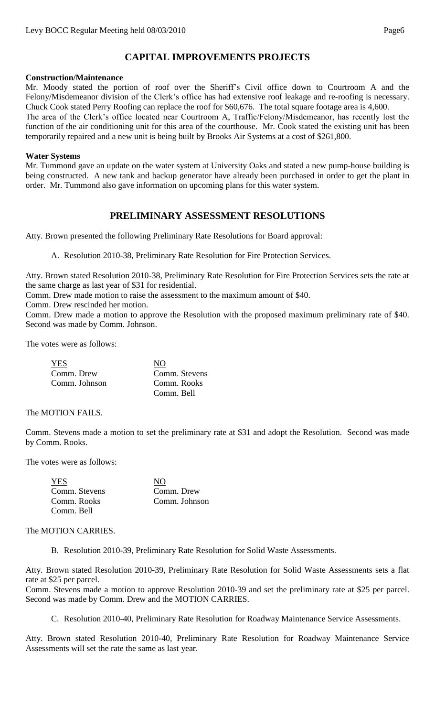# **CAPITAL IMPROVEMENTS PROJECTS**

#### **Construction/Maintenance**

Mr. Moody stated the portion of roof over the Sheriff's Civil office down to Courtroom A and the Felony/Misdemeanor division of the Clerk's office has had extensive roof leakage and re-roofing is necessary. Chuck Cook stated Perry Roofing can replace the roof for \$60,676. The total square footage area is 4,600.

The area of the Clerk's office located near Courtroom A, Traffic/Felony/Misdemeanor, has recently lost the function of the air conditioning unit for this area of the courthouse. Mr. Cook stated the existing unit has been temporarily repaired and a new unit is being built by Brooks Air Systems at a cost of \$261,800.

#### **Water Systems**

Mr. Tummond gave an update on the water system at University Oaks and stated a new pump-house building is being constructed. A new tank and backup generator have already been purchased in order to get the plant in order. Mr. Tummond also gave information on upcoming plans for this water system.

# **PRELIMINARY ASSESSMENT RESOLUTIONS**

Atty. Brown presented the following Preliminary Rate Resolutions for Board approval:

A. Resolution 2010-38, Preliminary Rate Resolution for Fire Protection Services.

Atty. Brown stated Resolution 2010-38, Preliminary Rate Resolution for Fire Protection Services sets the rate at the same charge as last year of \$31 for residential.

Comm. Drew made motion to raise the assessment to the maximum amount of \$40.

Comm. Drew rescinded her motion.

Comm. Drew made a motion to approve the Resolution with the proposed maximum preliminary rate of \$40. Second was made by Comm. Johnson.

The votes were as follows:

| <b>YES</b>    | NО            |
|---------------|---------------|
| Comm. Drew    | Comm. Stevens |
| Comm. Johnson | Comm. Rooks   |
|               | Comm. Bell    |

#### The MOTION FAILS.

Comm. Stevens made a motion to set the preliminary rate at \$31 and adopt the Resolution. Second was made by Comm. Rooks.

The votes were as follows:

| <b>YES</b>    | NO            |
|---------------|---------------|
| Comm. Stevens | Comm. Drew    |
| Comm. Rooks   | Comm. Johnson |
| Comm. Bell    |               |

#### The MOTION CARRIES.

B. Resolution 2010-39, Preliminary Rate Resolution for Solid Waste Assessments.

Atty. Brown stated Resolution 2010-39, Preliminary Rate Resolution for Solid Waste Assessments sets a flat rate at \$25 per parcel.

Comm. Stevens made a motion to approve Resolution 2010-39 and set the preliminary rate at \$25 per parcel. Second was made by Comm. Drew and the MOTION CARRIES.

C. Resolution 2010-40, Preliminary Rate Resolution for Roadway Maintenance Service Assessments.

Atty. Brown stated Resolution 2010-40, Preliminary Rate Resolution for Roadway Maintenance Service Assessments will set the rate the same as last year.